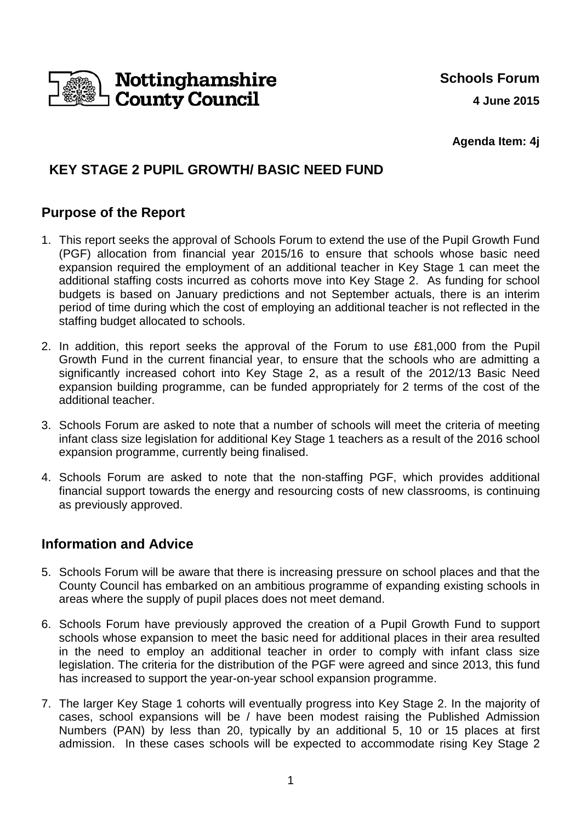

**Agenda Item: 4j**

# **KEY STAGE 2 PUPIL GROWTH/ BASIC NEED FUND**

### **Purpose of the Report**

- 1. This report seeks the approval of Schools Forum to extend the use of the Pupil Growth Fund (PGF) allocation from financial year 2015/16 to ensure that schools whose basic need expansion required the employment of an additional teacher in Key Stage 1 can meet the additional staffing costs incurred as cohorts move into Key Stage 2. As funding for school budgets is based on January predictions and not September actuals, there is an interim period of time during which the cost of employing an additional teacher is not reflected in the staffing budget allocated to schools.
- 2. In addition, this report seeks the approval of the Forum to use £81,000 from the Pupil Growth Fund in the current financial year, to ensure that the schools who are admitting a significantly increased cohort into Key Stage 2, as a result of the 2012/13 Basic Need expansion building programme, can be funded appropriately for 2 terms of the cost of the additional teacher.
- 3. Schools Forum are asked to note that a number of schools will meet the criteria of meeting infant class size legislation for additional Key Stage 1 teachers as a result of the 2016 school expansion programme, currently being finalised.
- 4. Schools Forum are asked to note that the non-staffing PGF, which provides additional financial support towards the energy and resourcing costs of new classrooms, is continuing as previously approved.

## **Information and Advice**

- 5. Schools Forum will be aware that there is increasing pressure on school places and that the County Council has embarked on an ambitious programme of expanding existing schools in areas where the supply of pupil places does not meet demand.
- 6. Schools Forum have previously approved the creation of a Pupil Growth Fund to support schools whose expansion to meet the basic need for additional places in their area resulted in the need to employ an additional teacher in order to comply with infant class size legislation. The criteria for the distribution of the PGF were agreed and since 2013, this fund has increased to support the year-on-year school expansion programme.
- 7. The larger Key Stage 1 cohorts will eventually progress into Key Stage 2. In the majority of cases, school expansions will be / have been modest raising the Published Admission Numbers (PAN) by less than 20, typically by an additional 5, 10 or 15 places at first admission. In these cases schools will be expected to accommodate rising Key Stage 2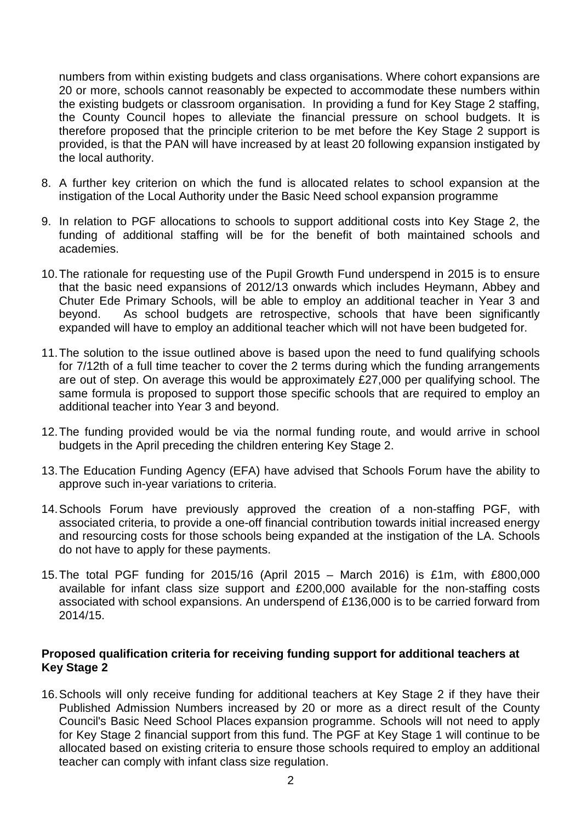numbers from within existing budgets and class organisations. Where cohort expansions are 20 or more, schools cannot reasonably be expected to accommodate these numbers within the existing budgets or classroom organisation. In providing a fund for Key Stage 2 staffing, the County Council hopes to alleviate the financial pressure on school budgets. It is therefore proposed that the principle criterion to be met before the Key Stage 2 support is provided, is that the PAN will have increased by at least 20 following expansion instigated by the local authority.

- 8. A further key criterion on which the fund is allocated relates to school expansion at the instigation of the Local Authority under the Basic Need school expansion programme
- 9. In relation to PGF allocations to schools to support additional costs into Key Stage 2, the funding of additional staffing will be for the benefit of both maintained schools and academies.
- 10. The rationale for requesting use of the Pupil Growth Fund underspend in 2015 is to ensure that the basic need expansions of 2012/13 onwards which includes Heymann, Abbey and Chuter Ede Primary Schools, will be able to employ an additional teacher in Year 3 and beyond. As school budgets are retrospective, schools that have been significantly expanded will have to employ an additional teacher which will not have been budgeted for.
- 11. The solution to the issue outlined above is based upon the need to fund qualifying schools for 7/12th of a full time teacher to cover the 2 terms during which the funding arrangements are out of step. On average this would be approximately £27,000 per qualifying school. The same formula is proposed to support those specific schools that are required to employ an additional teacher into Year 3 and beyond.
- 12. The funding provided would be via the normal funding route, and would arrive in school budgets in the April preceding the children entering Key Stage 2.
- 13. The Education Funding Agency (EFA) have advised that Schools Forum have the ability to approve such in-year variations to criteria.
- 14. Schools Forum have previously approved the creation of a non-staffing PGF, with associated criteria, to provide a one-off financial contribution towards initial increased energy and resourcing costs for those schools being expanded at the instigation of the LA. Schools do not have to apply for these payments.
- 15. The total PGF funding for 2015/16 (April 2015 March 2016) is £1m, with £800,000 available for infant class size support and £200,000 available for the non-staffing costs associated with school expansions. An underspend of £136,000 is to be carried forward from 2014/15.

#### **Proposed qualification criteria for receiving funding support for additional teachers at Key Stage 2**

16. Schools will only receive funding for additional teachers at Key Stage 2 if they have their Published Admission Numbers increased by 20 or more as a direct result of the County Council's Basic Need School Places expansion programme. Schools will not need to apply for Key Stage 2 financial support from this fund. The PGF at Key Stage 1 will continue to be allocated based on existing criteria to ensure those schools required to employ an additional teacher can comply with infant class size regulation.